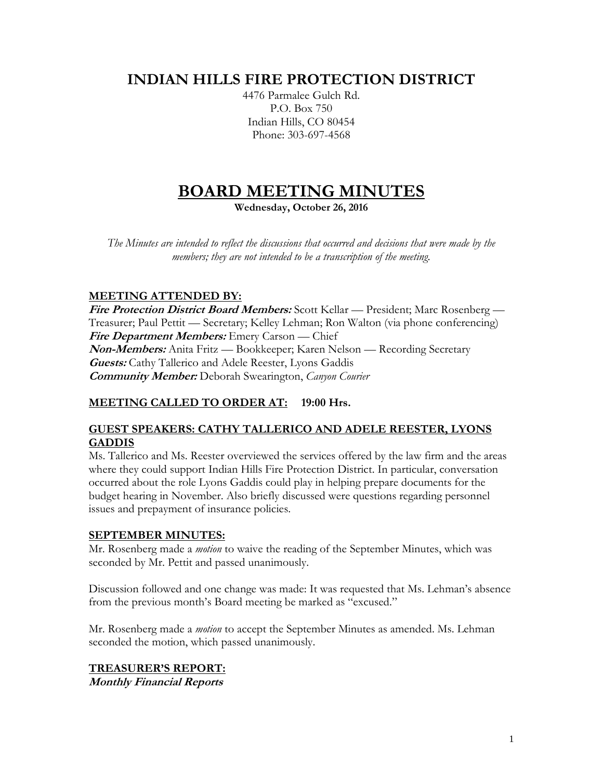## **INDIAN HILLS FIRE PROTECTION DISTRICT**

4476 Parmalee Gulch Rd. P.O. Box 750 Indian Hills, CO 80454 Phone: 303-697-4568

# **BOARD MEETING MINUTES**

**Wednesday, October 26, 2016**

*The Minutes are intended to reflect the discussions that occurred and decisions that were made by the members; they are not intended to be a transcription of the meeting.*

## **MEETING ATTENDED BY:**

**Fire Protection District Board Members:** Scott Kellar — President; Marc Rosenberg — Treasurer; Paul Pettit — Secretary; Kelley Lehman; Ron Walton (via phone conferencing) **Fire Department Members:** Emery Carson — Chief **Non-Members:** Anita Fritz — Bookkeeper; Karen Nelson — Recording Secretary **Guests:** Cathy Tallerico and Adele Reester, Lyons Gaddis **Community Member:** Deborah Swearington, *Canyon Courier*

## **MEETING CALLED TO ORDER AT: 19:00 Hrs.**

#### **GUEST SPEAKERS: CATHY TALLERICO AND ADELE REESTER, LYONS GADDIS**

Ms. Tallerico and Ms. Reester overviewed the services offered by the law firm and the areas where they could support Indian Hills Fire Protection District. In particular, conversation occurred about the role Lyons Gaddis could play in helping prepare documents for the budget hearing in November. Also briefly discussed were questions regarding personnel issues and prepayment of insurance policies.

## **SEPTEMBER MINUTES:**

Mr. Rosenberg made a *motion* to waive the reading of the September Minutes, which was seconded by Mr. Pettit and passed unanimously.

Discussion followed and one change was made: It was requested that Ms. Lehman's absence from the previous month's Board meeting be marked as "excused."

Mr. Rosenberg made a *motion* to accept the September Minutes as amended. Ms. Lehman seconded the motion, which passed unanimously.

**TREASURER'S REPORT: Monthly Financial Reports**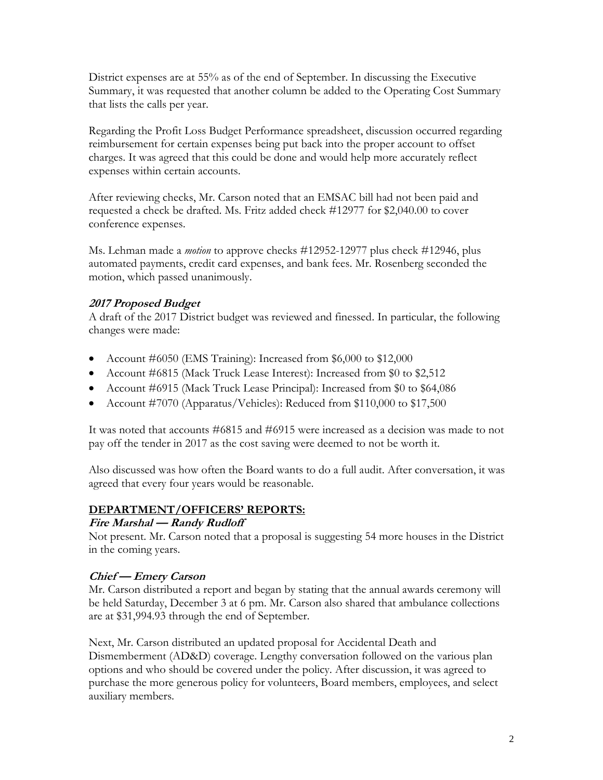District expenses are at 55% as of the end of September. In discussing the Executive Summary, it was requested that another column be added to the Operating Cost Summary that lists the calls per year.

Regarding the Profit Loss Budget Performance spreadsheet, discussion occurred regarding reimbursement for certain expenses being put back into the proper account to offset charges. It was agreed that this could be done and would help more accurately reflect expenses within certain accounts.

After reviewing checks, Mr. Carson noted that an EMSAC bill had not been paid and requested a check be drafted. Ms. Fritz added check #12977 for \$2,040.00 to cover conference expenses.

Ms. Lehman made a *motion* to approve checks #12952-12977 plus check #12946, plus automated payments, credit card expenses, and bank fees. Mr. Rosenberg seconded the motion, which passed unanimously.

## **2017 Proposed Budget**

A draft of the 2017 District budget was reviewed and finessed. In particular, the following changes were made:

- Account #6050 (EMS Training): Increased from \$6,000 to \$12,000
- Account #6815 (Mack Truck Lease Interest): Increased from \$0 to \$2,512
- Account #6915 (Mack Truck Lease Principal): Increased from \$0 to \$64,086
- Account #7070 (Apparatus/Vehicles): Reduced from \$110,000 to \$17,500

It was noted that accounts #6815 and #6915 were increased as a decision was made to not pay off the tender in 2017 as the cost saving were deemed to not be worth it.

Also discussed was how often the Board wants to do a full audit. After conversation, it was agreed that every four years would be reasonable.

## **DEPARTMENT/OFFICERS' REPORTS:**

#### **Fire Marshal — Randy Rudloff**

Not present. Mr. Carson noted that a proposal is suggesting 54 more houses in the District in the coming years.

## **Chief — Emery Carson**

Mr. Carson distributed a report and began by stating that the annual awards ceremony will be held Saturday, December 3 at 6 pm. Mr. Carson also shared that ambulance collections are at \$31,994.93 through the end of September.

Next, Mr. Carson distributed an updated proposal for Accidental Death and Dismemberment (AD&D) coverage. Lengthy conversation followed on the various plan options and who should be covered under the policy. After discussion, it was agreed to purchase the more generous policy for volunteers, Board members, employees, and select auxiliary members.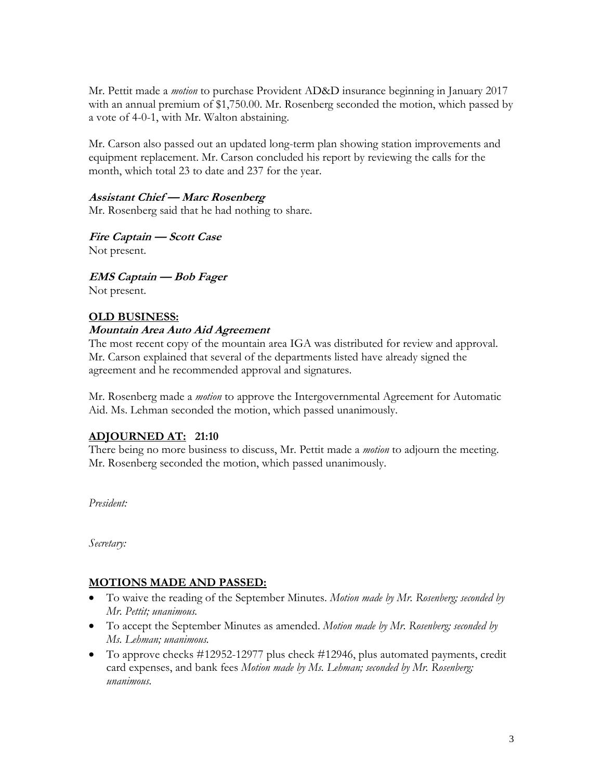Mr. Pettit made a *motion* to purchase Provident AD&D insurance beginning in January 2017 with an annual premium of \$1,750.00. Mr. Rosenberg seconded the motion, which passed by a vote of 4-0-1, with Mr. Walton abstaining.

Mr. Carson also passed out an updated long-term plan showing station improvements and equipment replacement. Mr. Carson concluded his report by reviewing the calls for the month, which total 23 to date and 237 for the year.

#### **Assistant Chief — Marc Rosenberg**

Mr. Rosenberg said that he had nothing to share.

**Fire Captain — Scott Case** Not present.

**EMS Captain — Bob Fager** Not present.

## **OLD BUSINESS:**

### **Mountain Area Auto Aid Agreement**

The most recent copy of the mountain area IGA was distributed for review and approval. Mr. Carson explained that several of the departments listed have already signed the agreement and he recommended approval and signatures.

Mr. Rosenberg made a *motion* to approve the Intergovernmental Agreement for Automatic Aid. Ms. Lehman seconded the motion, which passed unanimously.

## **ADJOURNED AT: 21:10**

There being no more business to discuss, Mr. Pettit made a *motion* to adjourn the meeting. Mr. Rosenberg seconded the motion, which passed unanimously.

*President:*

*Secretary:*

## **MOTIONS MADE AND PASSED:**

- To waive the reading of the September Minutes. *Motion made by Mr. Rosenberg; seconded by Mr. Pettit; unanimous.*
- To accept the September Minutes as amended. *Motion made by Mr. Rosenberg; seconded by Ms. Lehman; unanimous.*
- To approve checks #12952-12977 plus check #12946, plus automated payments, credit card expenses, and bank fees *Motion made by Ms. Lehman; seconded by Mr. Rosenberg; unanimous.*